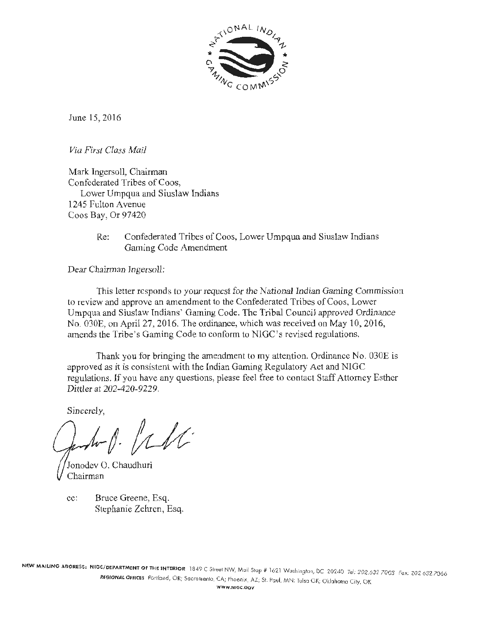

June 15, 2016

*Via First Class Mail* 

Mark Ingersoll, Chairman Confederated Tribes of Coos, Lower Umpqua and Siuslaw Indians 1245 Fulton Avenue Coos Bay, Or 97420

> Re: Confederated Tribes of Coos, Lower Umpqua and Siuslaw Indians Gaming Code Amendment

Dear Chairman Ingersoll:

This letter responds to your request for the National Indian Gaming Commission to review and approve an amendment to the Confederated Tribes of Coos, Lower Umpqua and Siuslaw Indians' Gaming Code. The Tribal Council approved Ordinance No. 030E, on April 27, 2016. The ordinance, which was received on May 10, 2016, amends the Tribe 's Gaming Code to conform to NlGC's revised regulations.

Thank you for bringjng the amendment to my attention. Ordinance No. 030E is approved as it is consistent with the tndian Gaming Regulatory Act and NIGC regulations. If you have any questions, please feel free to contact Staff Attorney Esther Dittler at 202-420-9229.

Sincerely,

 $11k$ 

Jonodev 0. Chaudhuri Chairmar

cc: Bruce Greene, Esq. Stephanie Zehrcn, Esq.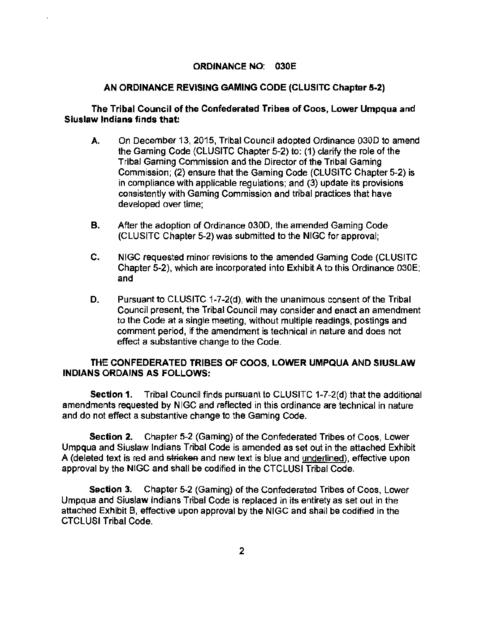#### ORDINANCE NO: 030E

#### AN ORDINANCE REVISING GAMING CODE (CLUSITC Chapter 5-2)

#### The Tribal Council of the Confederated Tribes of Coos, Lower Umpqua and Siuslaw Indians finds that:

- A. On December 13, 2015, Tribal Council adopted Ordinance 0300 to amend the Gaming Code (CLUSITC Chapter 5-2) to: (1) clarify the role of the Tribal Gaming Commission and the Director of the Tribal Gaming Commission; (2) ensure that the Gaming Code (CLUSITC Chapter 5-2) is in compliance with applicable regulations; and (3) update its provisions consistently with Gaming Commission and tribal practices that have developed over time;
- B. After the adoption of Ordinance 0300, the amended Gaming Code (CLUSITC Chapter 5-2) was submitted to the NIGC for approval;
- C. NIGC requested minor revisions to the amended Gaming Code (CLUSITC Chapter 5-2), which are incorporated into Exhibit A to this Ordinance 030E; and
- D. Pursuant to CLUSITC 1-7-2(d), with the unanimous consent of the Tribal Council present, the Tribal Council may consider and enact an amendment to the Code at a single meeting, without multiple readings, postings and comment period, if the amendment is technical in nature and does not effect a substantive change to the Code.

#### THE CONFEDERATED TRIBES OF COOS, LOWER UMPQUA AND SIUSLAW INDIANS ORDAINS AS FOLLOWS:

Section 1. Tribal Council finds pursuant to CLUSITC 1-7-2(d) that the additional amendments requested by NIGC and reflected in this ordinance are technical in nature and do not effect a substantive change to the Gaming Code.

Section 2. Chapter 5-2 (Gaming) of the Confederated Tribes of Coos, Lower Umpqua and Siuslaw Indians Tribal Code is amended as set out in the attached Exhibit A (deleted text is red and stricken and new text is blue and underlined), effective upon approval by the NIGC and shall be codified in the CTCLUSI Tribal Code.

Section 3. Chapter 5-2 (Gaming) of the Confederated Tribes of Coos, Lower Umpqua and Siuslaw Indians Tribal Code is replaced in its entirety as set out in the attached Exhibit B, effective upon approval by the NIGG and shall be codified in the CTCLUSI Tribal Code.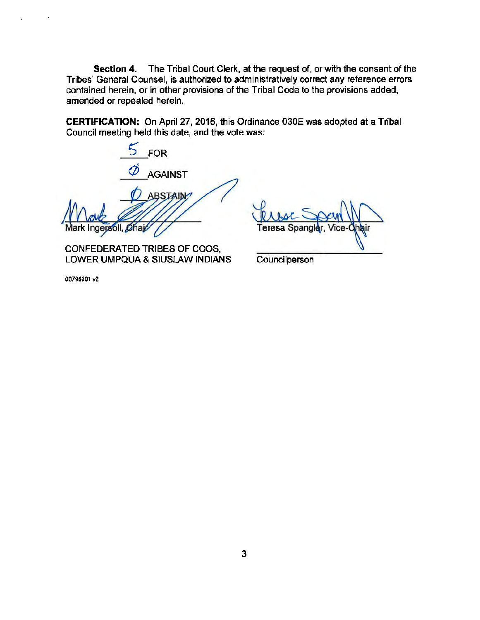Section 4. The Tribal Court Clerk, at the request of, or with the consent of the Tribes' General Counsel, is authorized to administratively correct any reference errors contained herein, or in other provisions of the Tribal Code to the provisions added, amended or repealed herein.

CERTIFICATION: On April 27, 2016, this Ordinance 030E was adopted at a Tribal Council meeting held this date, and the vote was:

5 FOR AGAINST **ABSTAIN** oll, Chaj

CONFEDERATED TRIBES OF COOS, LOWER UMPQUA & SIUSLAW INDIANS

eresa

**Councilperson** 

00796201.v2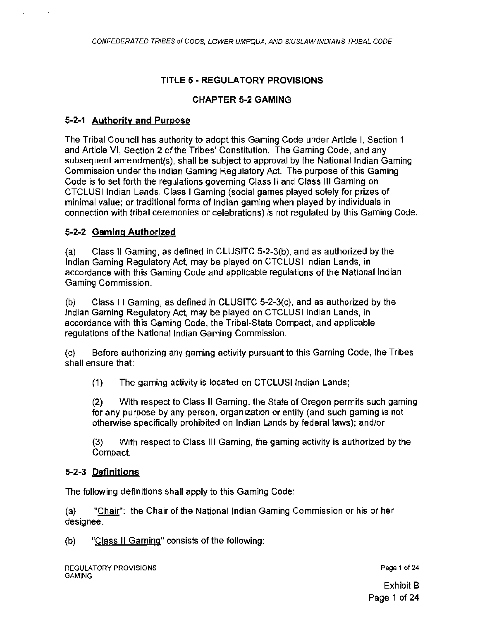# TITLE 5 • REGULA TORY PROVISIONS

### CHAPTER 5-2 GAMING

#### 5·2·1 Authority and Purpose

The Tribal Council has authority to adopt this Gaming Code under Article I, Section 1 and Article VI, Section 2 of the Tribes' Constitution. The Gaming Code, and any subsequent amendment(s), shall be subject to approval by the National Indian Gaming Commission under the Indian Gaming Regulatory Act. The purpose of this Gaming Code is to set forth the regulations governing Class II and Class Ill Gaming on CTCLUSI Indian Lands. Class I Gaming (social games played solely for prizes of minimal value; or traditional forms of Indian gaming when played by individuals in connection with tribal ceremonies or celebrations) is not regulated by this Gaming Code.

## 5-2-2 Gaming Authorized

(a) Class 11 Gaming, as defined in CLUSITC 5-2-3(b), and as authorized by the Indian Gaming Regulatory Act, may be played on CTCLUSI Indian Lands, in accordance with this Gaming Code and applicable regulations of the National Indian Gaming Commission.

(b) Class Ill Gaming, as defined in CLUSITC 5-2-3(c), and as authorized by the Indian Gaming Regulatory Act, may be played on CTCLUSI Indian Lands, in accordance with this Gaming Code, the Tribal-State Compact, and applicable regulations of the National Indian Gaming Commission.

(c) Before authorizing any gaming activity pursuant to this Gaming Code, the Tribes shall ensure that:

(1) The gaming activity is located on CTCLUSI Indian Lands;

(2) With respect to Class II Gaming, the State of Oregon permits such gaming for any purpose by any person, organization or entity (and such gaming is not otherwise specifically prohibited on Indian Lands by federal laws); and/or

(3) With respect to Class Ill Gaming, the gaming activity is authorized by the Compact.

## 5-2·3 Definitions

The following definitions shall apply to this Gaming Code:

(a) "Chair": the Chair of the National Indian Gaming Commission or his or her designee.

(b) "Class II Gaming" consists of the following:

Page 1 of 24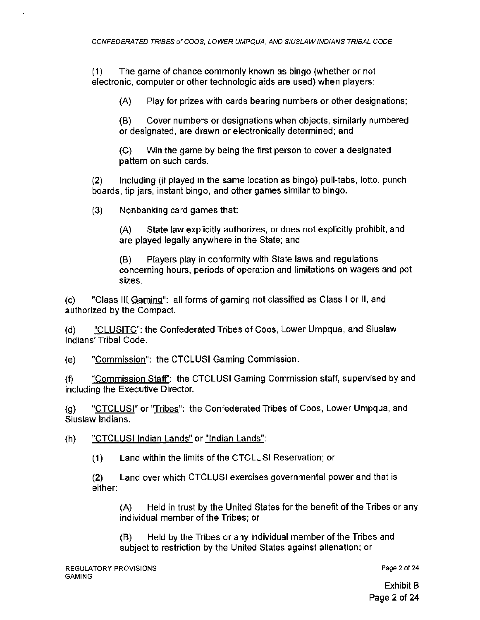(1) The game of chance commonly known as bingo (whether or not electronic, computer or other technologic aids are used) when players:

(A) Play for prizes with cards bearing numbers or other designations;

(B) Cover numbers or designations when objects, similarly numbered or designated, are drawn or electronically determined; and

(C) Win the game by being the first person to cover a designated pattern on such cards.

(2) Including (if played in the same location as bingo) pull-tabs, lotto, punch boards, tip jars, instant bingo, and other games similar to bingo.

(3) Nonbanking card games that:

(A) State law explicitly authorizes, or does not explicitly prohibit, and are played legally anywhere in the State; and

(B) Players play in conformity with State laws and regulations concerning hours, periods of operation and limitations on wagers and pot sizes.

(c) "Class Ill Gaming": all forms of gaming not classified as Class I or 11, and authorized by the Compact.

(d) "CLUSITC": the Confederated Tribes of Coos, Lower Umpqua, and Siuslaw Indians' Tribal Code.

(e) "Commission": the CTCLUSI Gaming Commission.

(f) "Commission Staff': the CTCLUSI Gaming Commission staff, supervised by and including the Executive Director.

(g) "CTCLUSI" or "Tribes": the Confederated Tribes of Coos, Lower Umpqua, and Siuslaw Indians.

(h) "CTCLUSI Indian Lands" or "Indian Lands":

(1) Land within the limits of the CTCLUSI Reservation; or

(2) Land over which CTCLUSI exercises governmental power and that is either:

(A) Held in trust by the United States for the benefit of the Tribes or any individual member of the Tribes; or

(B) Held by the Tribes or any individual member of the Tribes and subject to restriction by the United States against alienation: or

Page 2 of 24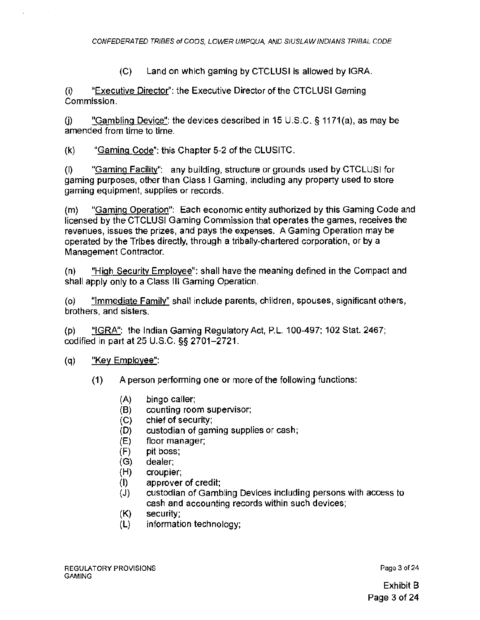(C) Land on which gaming by CTCLUSI is allowed by IGRA.

(i) "Executive Director": the Executive Director of the CTCLUSI Gaming Commission.

(i) "Gambling Device": the devices described in 15 U.S.C. § 1171(a), as may be amended from time to time.

(k) "Gaming Code": this Chapter 5-2 of the CLUSITC.

(I) "Gaming Facility": any building, structure or grounds used by CTCLUSI for gaming purposes, other than Class I Gaming, including any property used to store gaming equipment, supplies or records.

(m) "Gaming Operation": Each economic entity authorized by this Gaming Code and licensed by the CTCLUSI Gaming Commission that operates the games, receives the revenues, issues the prizes, and pays the expenses. A Gaming Operation may be operated by the Tribes directly, through a tribally-chartered corporation, or by a Management Contractor.

(n) "High Security Employee": shall have the meaning defined in the Compact and shall apply only to a Class Ill Gaming Operation.

(o) "Immediate Family" shall include parents, children, spouses, significant others, brothers, and sisters.

(p) "IGRA": the Indian Gaming Regulatory Act, P.L. 100-497; 102 Stat. 2467; codified in part at 25 U.S.C. §§ 2701-2721 .

#### (q) "Key Employee":

- (1) A person performing one or more of the following functions:
	- (A) bingo caller;
	- (B) counting room supervisor;
	- (C) chief of security;
	- (D) custodian of gaming supplies or cash;
	- (E) floor manager;
	- (F) pit boss;
	- (G) dealer;
	- (H) croupier;
	- (I) approver of credit;
	- (J) custodian of Gambling Devices including persons with access to cash and accounting records within such devices;
	- (K) security;
	- (L) information technology;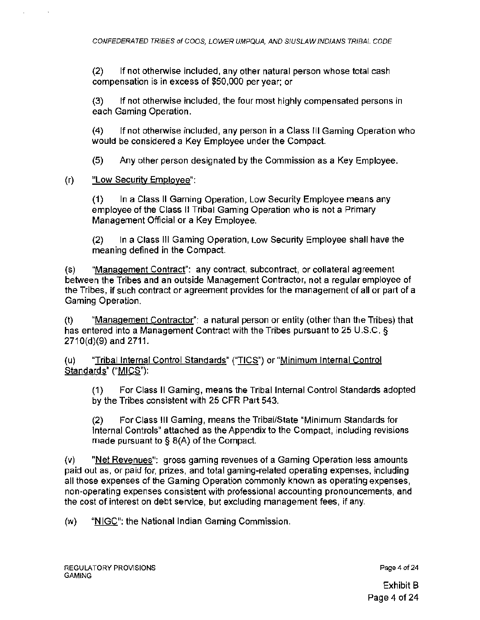(2) If not otherwise included, any other natural person whose total cash compensation is in excess of \$50,000 per year; or

(3) If not otherwise included, the four most highly compensated persons in each Gaming Operation.

(4) If not otherwise included, any person in a Class Ill Gaming Operation who would be considered a Key Employee under the Compact.

(5) Any other person designated by the Commission as a Key Employee.

(r) "Low Security Employee":

(1) In a Class II Gaming Operation, Low Security Employee means any employee of the Class II Tribal Gaming Operation who is not a Primary Management Official or a Key Employee.

(2) In a Class 111 Gaming Operation, Low Security Employee shall have the meaning defined in the Compact.

(s) "Management Contract": any contract, subcontract, or collateral agreement between the Tribes and an outside Management Contractor, not a regular employee of the Tribes, if such contract or agreement provides for the management of all or part of a Gaming Operation.

(t) "Management Contractor": a natural person or entity (other than the Tribes) that has entered into a Management Contract with the Tribes pursuant to 25 U.S.C. § 2710(d)(9) and 2711.

(u) "Tribal Internal Control Standards" ("TICS") or "Minimum Internal Control Standards" ("MICS"):

(1) For Class II Gaming, means the Tribal Internal Control Standards adopted by the Tribes consistent with 25 CFR Part 543.

(2) For Class Ill Gaming, means the Tribal/State "Minimum Standards for Internal Controls" attached as the Appendix to the Compact, including revisions made pursuant to§ 8(A) of the Compact.

(v) "Net Revenues": gross gaming revenues of a Gaming Operation less amounts paid out as, or paid for, prizes, and total gaming-related operating expenses, including all those expenses of the Gaming Operation commonly known as operating expenses, non-operating expenses consistent with professional accounting pronouncements, and the cost of interest on debt service, but excluding management fees , if any.

(w) "NIGC": the National Indian Gaming Commission.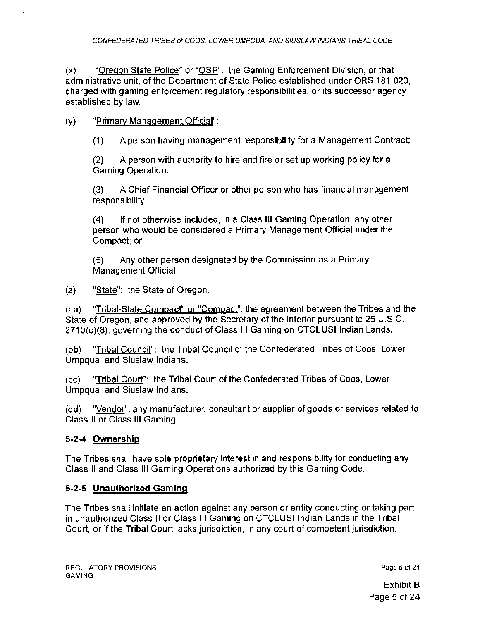(x) "Oregon State Police" or "OSP": the Gaming Enforcement Division, or that administrative unit, of the Department of State Police established under ORS 181.020, charged with gaming enforcement regulatory responsibilities, or its successor agency established by law.

# (y) "Primary Management Official":

**(1)** A person having management responsibility for a Management Contract;

(2) A person with authority to hire and fire or set up working policy for a Gaming Operation;

(3) A Chief Financial Officer or other person who has financial management responsibility;

(4) If not otherwise included, in a Class Ill Gaming Operation, any other person who would be considered a Primary Management Official under the Compact; or

(5) Any other person designated by the Commission as a Primary Management Official.

(z) "State": the State of Oregon.

(aa) "Tribal-State Compact" or "Compact": the agreement between the Tribes and the State of Oregon, and approved by the Secretary of the Interior pursuant to 25 U.S.C. 2710(d)(8), governing the conduct of Class Ill Gaming on CTCLUSI Indian Lands.

(bb) "Tribal Council": the Tribal Council of the Confederated Tribes of Coos, Lower Umpqua, and Siuslaw Indians.

(cc) "Tribal Court": the Tribal Court of the Confederated Tribes of Coos, Lower Umpqua, and Siuslaw Indians.

(dd) "Vendor": any manufacturer, consultant or supplier of goods or services related to Class II or Class Ill Gaming.

# **5-24 Ownership**

The Tribes shall have sole proprietary interest in and responsibility for conducting any Class II and Class Ill Gaming Operations authorized by this Gaming Code.

## **5-2-5 Unauthorized Gaming**

The Tribes shall initiate an action against any person or entity conducting or taking part in unauthorized Class II or Class Ill Gaming on CTCLUSI Indian Lands in the Tribal Court, or if the Tribal Court lacks jurisdiction, in any court of competent jurisdiction.

Page 5 of 24

Exhibit B Page 5 of 24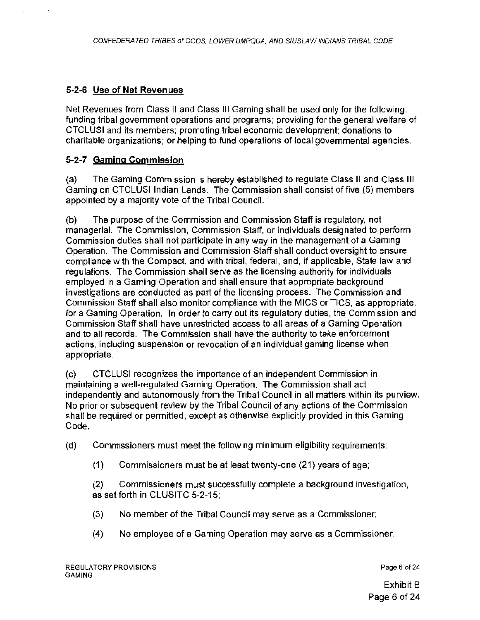# 5-2-6 Use of Net Revenues

Net Revenues from Class II and Class Ill Gaming shall be used only for the following: funding tribal government operations and programs; providing for the general welfare of CTCLUSI and its members; promoting tribal economic development; donations to charitable organizations; or helping to fund operations of local governmental agencies.

# 5-2-7 Gaming Commission

(a) The Gaming Commission is hereby established to regulate Class II and Class Ill Gaming on CTCLUSI Indian Lands. The Commission shall consist of five (5) members appointed by a majority vote of the Tribal Council.

(b) The purpose of the Commission and Commission Staff is regulatory, not managerial. The Commission, Commission Staff, or individuals designated to perform Commission duties shall not participate in any way in the management of a Gaming Operation. The Commission and Commission Staff shall conduct oversight to ensure compliance with the Compact, and with tribal, federal, and, if applicable, State law and regulations. The Commission shall serve as the licensing authority for individuals employed in a Gaming Operation and shall ensure that appropriate background investigations are conducted as part of the licensing process. The Commission and Commission Staff shall also monitor compliance with the MICS or TICS, as appropriate , for a Gaming Operation. In order to carry out its regulatory duties, the Commission and Commission Staff shall have unrestricted access *to* all areas of a Gaming Operation and to all records. The Commission shall have the authority to take enforcement actions, including suspension or revocation of an individual gaming license when appropriate.

(c) CTCLUSI recognizes the importance of an independent Commission in maintaining a well-regulated Gaming Operation. The Commission shall act independently and autonomously from the Tribal Council in all matters within its purview. No prior or subsequent review by the Tribal Council of any actions of the Commission shall be required or permitted, except as otherwise explicitly provided in this Gaming Code.

(d) Commissioners must meet the following minimum eligibility requirements:

(1) Commissioners must be at least twenty-one (21) years of age;

(2) Commissioners must successfully complete a background investigation, as set forth in CLUSITC 5-2-15;

- (3) No member of the Tribal Council may serve as a Commissioner;
- (4) No employee of a Gaming Operation may serve as a Commissioner.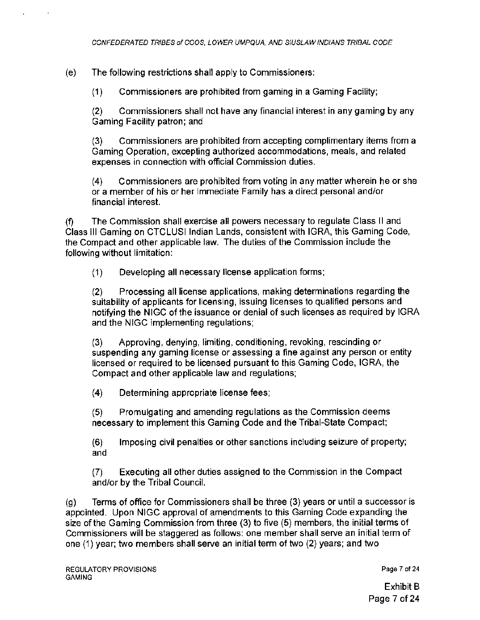(e) The following restrictions shall apply to Commissioners:

(1) Commissioners are prohibited from gaming in a Gaming Facility;

(2) Commissioners shall not have any financial interest in any gaming by any Gaming Facility patron; and

(3) Commissioners are prohibited from accepting complimentary items from a Gaming Operation, excepting authorized accommodations, meals, and related expenses in connection with official Commission duties.

(4) Commissioners are prohibited from voting in any matter wherein he or she or a member of his or her Immediate Family has a direct personal and/or financial interest.

(f) The Commission shall exercise all powers necessary to regulate Class II and Class Ill Gaming on CTCLUSI Indian Lands, consistent with IGRA, this Gaming Code, the Compact and other applicable law. The duties of the Commission include the following without limitation:

(1) Developing all necessary license application forms;

(2) Processing all license applications, making determinations regarding the suitability of applicants for licensing, issuing licenses to qualified persons and notifying the NIGC of the issuance or denial of such licenses as required by IGRA and the NIGC implementing regulations;

(3) Approving, denying, limiting, conditioning, revoking, rescinding or suspending any gaming license or assessing a fine against any person or entity licensed or required to be licensed pursuant to this Gaming Code, IGRA, the Compact and other applicable law and regulations;

(4) Determining appropriate license fees;

(5) Promulgating and amending regulations as the Commission deems necessary to implement this Gaming Code and the Tribal-State Compact;

(6) Imposing civil penalties or other sanctions including seizure of property; and

(7) Executing all other duties assigned to the Commission in the Compact and/or by the Tribal Council.

(g) Terms of office for Commissioners shall be three (3) years or until a successor is appointed. Upon NIGC approval of amendments to this Gaming Code expanding the size of the Gaming Commission from three (3) to five (5) members, the initial terms of Commissioners will be staggered as follows: one member shall serve an initial term of one (1) year; two members shall serve an initial term of two (2) years; and two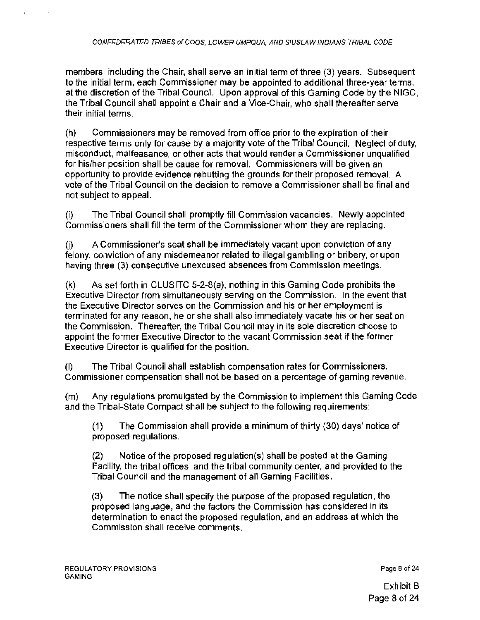members, including the Chair, shall serve an initial term of three (3) years. Subsequent to the initial term, each Commissioner may be appointed to additional three-year terms, at the discretion of the Tribal Council. Upon approval of this Gaming Code by the NIGG, the Tribal Council shall appoint a Chair and a Vice-Chair, who shall thereafter serve their initial terms .

(h) Commissioners may be removed from office prior to the expiration of their respective terms only for cause by a majority vote of the Tribal Council. Neglect of duty, misconduct, malfeasance, or other acts that would render a Commissioner unqualified for his/her position shall be cause for removal. Commissioners will be given an opportunity to provide evidence rebutting the grounds for their proposed removal. A vote of the Tribal Council on the decision to remove a Commissioner shall be final and not subject to appeal.

(i) The Tribal Council shall promptly fill Commission vacancies. Newly appointed Commissioners shall fill the term of the Commissioner whom they are replacing.

 $U$  A Commissioner's seat shall be immediately vacant upon conviction of any felony, conviction of any misdemeanor related to illegal gambling or bribery, or upon having three (3) consecutive unexcused absences from Commission meetings.

(k) As set forth in CLUSITC 5-2-B(a), nothing in this Gaming Code prohibits the Executive Director from simultaneously serving on the Commission. In the event that the Executive Director serves on the Commission and his or her employment is terminated for any reason, he or she shall also immediately vacate his or her seat on the Commission. Thereafter, the Tribal Council may in its sole discretion choose to appoint the former Executive Director to the vacant Commission seat if the former Executive Director is qualified for the position.

(I) The Tribal Council shall establish compensation rates for Commissioners. Commissioner compensation shall not be based on a percentage of gaming revenue.

(m) Any regulations promulgated by the Commission to implement this Gaming Code and the Tribal-State Compact shall be subject to the following requirements:

(1) The Commission shall provide a minimum of thirty (30) days' notice of proposed regulations.

(2) Notice of the proposed regulation(s) shall be posted at the Gaming Facility, the tribal offices, and the tribal community center, and provided to the Tribal Council and the management of all Gaming Facilities.

(3) The notice shall specify the purpose of the proposed regulation, the proposed language, and the factors the Commission has considered in its determination to enact the proposed regulation, and an address at which the Commission shall receive comments.

Page 8 of 24

Exhibit B Page 8 of 24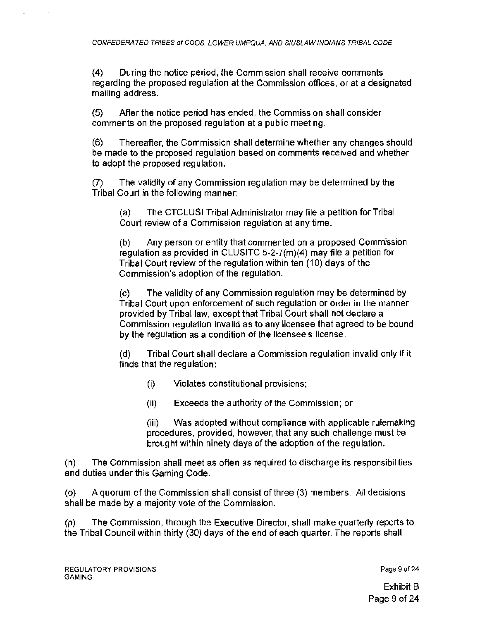(4) During the notice period, the Commission shall receive comments regarding the proposed regulation at the Commission offices, or at a designated mailing address.

(5) After the notice period has ended, the Commission shall consider comments on the proposed regulation at a public meeting.

(6) Thereafter, the Commission shall determine whether any changes should be made to the proposed regulation based on comments received and whether to adopt the proposed regulation.

(7) The validity of any Commission regulation may be determined by the Tribal Court in the following manner:

(a) The CTCLUSI Tribal Administrator may file a petition for Tribal Court review of a Commission regulation at any time.

(b) Any person or entity that commented on a proposed Commission regulation as provided in CLUSITC 5-2-7(m)(4) may file a petition for Tribal Court review of the regulation within ten (10) days of the Commission's adoption of the regulation.

(c) The validity of any Commission regu lation may be determined by Tribal Court upon enforcement of such regulation or order in the manner provided by Tribal law, except that Tribal Court shall not declare a Commission regulation invalid as to any licensee that agreed to be bound by the regulation as a condition of the licensee's license.

(d) Tribal Court shall declare a Commission regulation invalid only if it finds that the regulation:

- (i) Violates constitutional provisions;
- (ii) Exceeds the authority of the Commission; or

(iii) Was adopted without compliance with applicable rulemaking procedures, provided, however, that any such challenge must be brought within ninety days of the adoption of the regulation.

(n) The Commission shall meet as often as required to discharge its responsibilities and duties under this Gaming Code.

(o) A quorum of the Commission shall consist of three (3) members. All decisions shall be made by a majority vote of the Commission.

(p) The Commission, through the Executive Director, shall make quarterly reports to the Tribal Council within thirty (30) days of the end of each quarter. The reports shall

Page 9 of 24

Exhibit B Page 9 of 24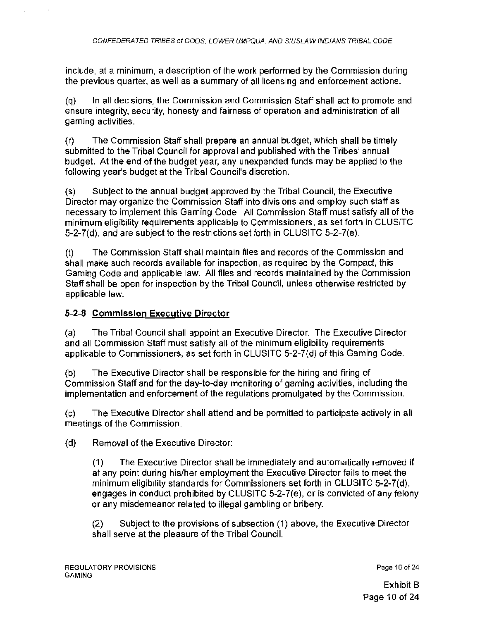include, at a minimum, a description of the work performed by the Commission during the previous quarter, as well as a summary of all licensing and enforcement actions.

(q) In all decisions, the Commission and Commission Staff shall act to promote and ensure integrity, security, honesty and fairness of operation and administration of all gaming activities.

(r) The Commission Staff shall prepare an annual budget, which shall be timely submitted to the Tribal Council for approval and published with the Tribes' annual budget. At the end of the budget year, any unexpended funds may be applied to the following year's budget at the Tribal Council's discretion.

(s) Subject to the annual budget approved by the Tribal Council, the Executive Director may organize the Commission Staff into divisions and employ such staff as necessary to implement this Gaming Code. All Commission Staff must satisfy all of the minimum eligibility requirements applicable to Commissioners, as set forth in CLUSITC 5-2-7(d). and are subject to the restrictions set forth in CLUSITC 5-2-7(e).

(t) The Commission Staff shall maintain files and records of the Commission and shall make such records available for inspection, as required by the Compact, this Gaming Code and applicable law. All files and records maintained by the Commission Staff shall be open for inspection by the Tribal Council, unless otherwise restricted by applicable law.

### 5-2-8 Commission Executive Director

(a) The Tribal Council shall appoint an Executive Director. The Executive Director and all Commission Staff must satisfy all of the minimum eligibility requirements applicable to Commissioners, as set forth in CLUSITC 5-2-7(d) of this Gaming Code.

(b) The Executive Director shall be responsible for the hiring and firing of Commission Staff and for the day-to-day monitoring of gaming activities, including the implementation and enforcement of the regulations promulgated by the Commission.

(c) The Executive Director shall attend and be permitted to participate actively in all meetings of the Commission.

(d) Removal of the Executive Director:

(1) The Executive Director shall be immediately and automatically removed if at any point during his/her employment the Executive Director fails to meet the minimum eligibility standards for Commissioners set forth in CLUSITC 5-2-7(d), engages in conduct prohibited by CLUSITC 5-2-7(e), or is convicted of any felony or any misdemeanor related to illegal gambling or bribery.

(2) Subject to the provisions of subsection ( 1 ) above, the Executive Director shall serve at the pleasure of the Tribal Council.

Page 10 of 24

Exhibit B Page 10 of 24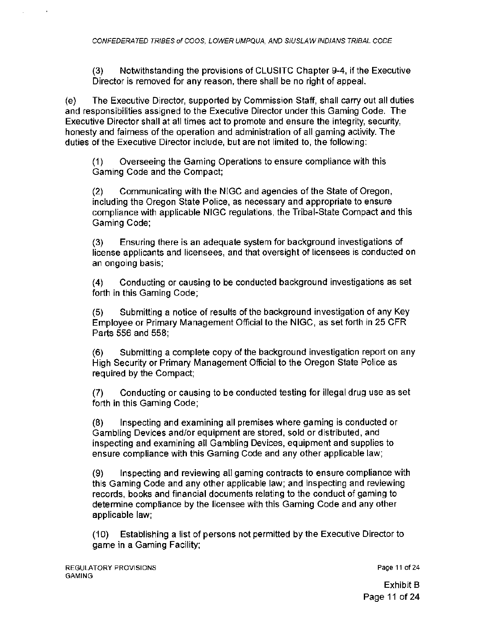(3) Notwithstanding the provisions of CLUSITC Chapter 9-4, if the Executive Director is removed for any reason, there shall be no right of appeal.

(e) The Executive Director, supported by Commission Staff, shall carry out all duties and responsibilities assigned to the Executive Director under this Gaming Code. The Executive Director shall at all times act to promote and ensure the integrity, security, honesty and fairness of the operation and administration of all gaming activity. The duties of the Executive Director include, but are not limited to, the following:

(1) Overseeing the Gaming Operations to ensure compliance with this Gaming Code and the Compact;

(2) Communicating with the NIGC and agencies of the State of Oregon, including the Oregon State Police, as necessary and appropriate to ensure compliance with applicable NIGC regulations, the Tribal-State Compact and this Gaming Code;

(3) Ensuring there is an adequate system for background investigations of license applicants and licensees, and that oversight of licensees is conducted on an ongoing basis;

(4) Conducting or causing to be conducted background investigations as set forth in this Gaming Code;

(5) Submitting a notice of results of the background investigation of any Key Employee or Primary Management Official to the NIGC, as set forth in 25 CFR Parts 556 and 558;

(6) Submitting a complete copy of the background investigation report on any High Security or Primary Management Official to the Oregon State Police as required by the Compact;

(7) Conducting or causing to be conducted testing for illegal drug use as set forth in this Gaming Code;

(8) Inspecting and examining all premises where gaming is conducted or Gambling Devices and/or equipment are stored, sold or distributed, and inspecting and examining all Gambling Devices, equipment and supplies to ensure compliance with this Gaming Code and any other applicable law;

(9) Inspecting and reviewing all gaming contracts to ensure compliance with this Gaming Code and any other applicable law; and inspecting and reviewing records, books and financial documents relating to the conduct of gaming to determine compliance by the licensee with this Gaming Code and any other applicable law;

(10) Establishing a list of persons not permitted by the Executive Director to game in a Gaming Facility;

Page 11 of 24

Exhibit B Page 11 of 24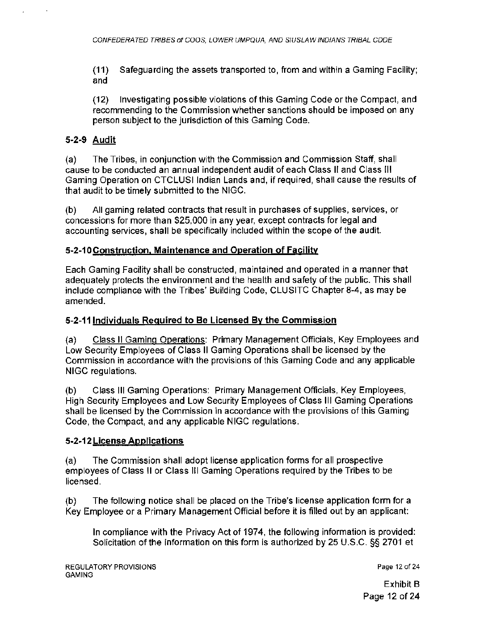(11) Safeguarding the assets transported to, from and within a Gaming Facility; and

(12) Investigating possible violations of this Gaming Code or the Compact, and recommending to the Commission whether sanctions should be imposed on any person subject to the jurisdiction of this Gaming Code.

## 5-2-9 Audit

(a) The Tribes, in conjunction with the Commission and Commission Staff, shall cause to be conducted an annual independent audit of each Class II and Class Ill Gaming Operation on CTCLUSI Indian Lands and, if required, shall cause the results of that audit to be timely submitted to the NIGC.

(b) All gaming related contracts that result in purchases of supplies, services, or concessions for more than \$25,000 in any year, except contracts for legal and accounting services, shall be specifically included within the scope of the audit.

#### 5-2-10Construction, Maintenance and Operation of Facility

Each Gaming Facility shall be constructed, maintained and operated in a manner that adequately protects the environment and the health and safety of the public. This shall include compliance with the Tribes' Building Code, CLUSITC Chapter 8-4, as may be amended.

#### 5-2-11 Individuals Required to Be Licensed By the Commission

(a) Class II Gaming Operations: Primary Management Officials, Key Employees and Low Security Employees of Class II Gaming Operations shall be licensed by the Commission in accordance with the provisions of this Gaming Code and any applicable NIGC regulations.

(b) Class Ill Gaming Operations: Primary Management Officials, Key Employees, High Security Employees and Low Security Employees of Class Ill Gaming Operations shall be licensed by the Commission in accordance with the provisions of this Gaming Code, the Compact, and any applicable NIGC regulations.

#### 5-2·12 License Applications

(a) The Commission shall adopt license application forms for all prospective employees of Class II or Class Ill Gaming Operations required by the Tribes to be licensed.

(b) The following notice shall be placed on the Tribe's license application form for a Key Employee or a Primary Management Official before it is filled out by an applicant:

In compliance with the Privacy Act of 1974, the following information is provided: Solicitation of the information on this form is authorized by 25 U.S.C. §§ 2701 et

Page 12 of 24

Exhibit B Page 12 of 24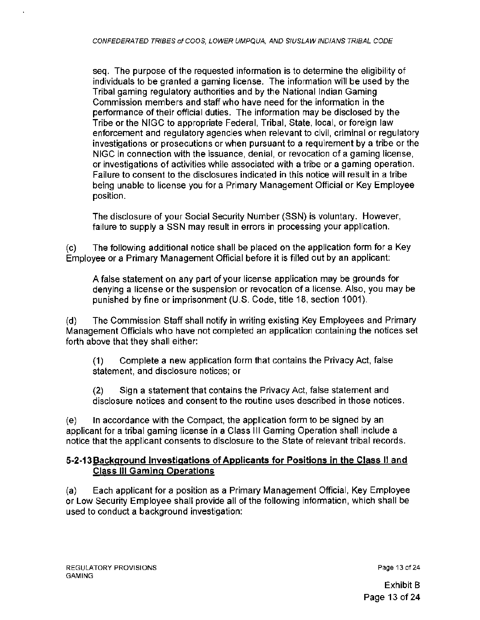seq. The purpose of the requested information is to determine the eligibility of individuals to be granted a gaming license. The information will be used by the Tribal gaming regulatory authorities and by the National Indian Gaming Commission members and staff who have need for the information in the performance of their official duties. The information may be disclosed by the Tribe or the NIGC to appropriate Federal, Tribal, State, local, or foreign law enforcement and regulatory agencies when relevant to civil, criminal or regulatory investigations or prosecutions or when pursuant to a requirement by a tribe or the NIGC in connection with the issuance, denial, or revocation of a gaming license, or investigations of activities while associated with a tribe or a gaming operation. Failure to consent to the disclosures indicated in this notice will result in a tribe being unable to license you for a Primary Management Official or Key Employee position.

The disclosure of your Social Security Number (SSN) is voluntary. However, failure to supply a SSN may result in errors in processing your application.

(c) The following additional notice shall be placed on the application form for a Key Employee or a Primary Management Official before it is filled out by an applicant:

A false statement on any part of your license application may be grounds for denying a license or the suspension or revocation of a license. Also, you may be punished by fine or imprisonment (U.S. Code, title 18, section 1001).

(d) The Commission Staff shall notify in writing existing Key Employees and Primary Management Officials who have not completed an application containing the notices set forth above that they shall either:

(1) Complete a new application form that contains the Privacy Act, false statement, and disclosure notices; or

(2) Sign a statement that contains the Privacy Act, false statement and disclosure notices and consent to the routine uses described in those notices.

(e) In accordance with the Compact, the application form to be signed by an applicant for a tribal gaming license in a Class 111 Gaming Operation shall include a notice that the applicant consents to disclosure to the State of relevant tribal records.

#### 5-2-13Background Investigations of Applicants for Positions in the Class II and Class Ill Gaming Operations

(a) Each applicant for a position as a Primary Management Official, Key Employee or Low Security Employee shall provide all of the following information, which shall be used to conduct a background investigation:

Page 13 of 24

Exhibit B Page 13 of 24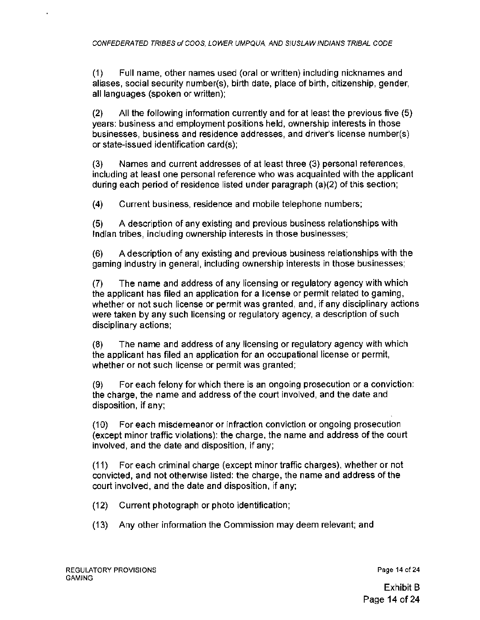(1) Full name, other names used (oral or written) including nicknames and aliases, social security number(s), birth date, place of birth, citizenship, gender, all languages (spoken or written);

(2) All the following information currently and for at least the previous five (5) years: business and employment positions held, ownership interests in those businesses, business and residence addresses, and driver's license number(s) or state-issued identification card(s);

(3) Names and current addresses of at least three (3) personal references, including at least one personal reference who was acquainted with the applicant during each period of residence listed under paragraph {a)(2) of this section;

(4) Current business, residence and mobile telephone numbers;

(5) A description of any existing and previous business relationships with Indian tribes, including ownership interests in those businesses;

(6) A description of any existing and previous business relationships with the gaming industry in general, including ownership interests in those businesses;

(7) The name and address of any licensing or regulatory agency with which the applicant has filed an application for a license or permit related to gaming, whether or not such license or permit was granted, and, if any disciplinary actions were taken by any such licensing or regulatory agency, a description of such disciplinary actions;

(8) The name and address of any licensing or regulatory agency with which the applicant has filed an application for an occupational license or permit, whether or not such license or permit was granted;

(9) For each felony for which there is an ongoing prosecution or a conviction: the charge, the name and address of the court involved, and the date and disposition, if any;

(10) For each misdemeanor or infraction conviction or ongoing prosecution (except minor traffic violations): the charge, the name and address of the court involved, and the date and disposition, if any;

(11) For each criminal charge (except minor traffic charges), whether or not convicted, and not otherwise listed: the charge, the name and address of the court involved, and the date and disposition, if any;

- (12) Current photograph or photo identification;
- (13) Any other information the Commission may deem relevant; and

Page 14 of 24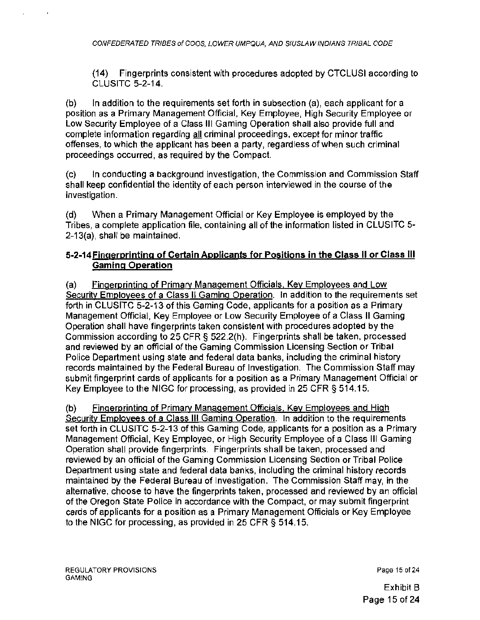(14) Fingerprints consistent with procedures adopted by CTCLUSI according to CLUSITC 5-2-14.

(b) In addition to the requirements set forth in subsection (a), each applicant for a position as a Primary Management Official, Key Employee, High Security Employee or Low Security Employee of a Class Ill Gaming Operation shall also provide full and complete information regarding all criminal proceedings, except for minor traffic offenses, to which the applicant has been a party, regardless of when such criminal proceedings occurred, as required by the Compact.

(c) In conducting a background investigation, the Commission and Commission Staff shall keep confidential the identity of each person interviewed in the course of the investigation.

(d) When a Primary Management Official or Key Employee is employed by the Tribes, a complete application file, containing all of the information listed in CLUSITC 5- 2-13(a), shall be maintained.

#### 5-2-14Fingerprinting of Certain Applicants for Positions in the Class II or Class Ill Gaming Operation

(a) Fingerprinting of Primary Management Officials. Key Employees and Low Security Employees of a Class II Gaming Operation. In addition to the requirements set forth in CLUSITC 5-2-13 of this Gaming Code, applicants for a position as a Primary Management Official, Key Employee or Low Security Employee of a Class II Gaming Operation shall have fingerprints taken consistent with procedures adopted by the Commission according to 25 CFR § 522.2(h). Fingerprints shall be taken, processed and reviewed by an official of the Gaming Commission Licensing Section or Tribal Police Department using state and federal data banks, including the criminal history records maintained by the Federal Bureau of Investigation. The Commission Staff may submit fingerprint cards of applicants for a position as a Primary Management Official or Key Employee to the NIGC for processing, as provided in 25 CFR § 514.15.

(b) Fingerprinting of Primary Management Officials. Key Employees and High Security Employees of a Class III Gaming Operation. In addition to the requirements set forth in CLUSJTC 5-2-13 of this Gaming Code, applicants for a position as a Primary Management Official, Key Employee, or High Security Employee of a Class Ill Gaming Operation shall provide fingerprints. Fingerprints shall be taken, processed and reviewed by an official of the Gaming Commission Licensing Section or Tribal Police Department using state and federal data banks, including the criminal history records maintained by the Federal Bureau of Investigation. The Commission Staff may, in the alternative, choose to have the fingerprints taken, processed and reviewed by an official of the Oregon State Police in accordance with the Compact, or may submit fingerprint cards of applicants for a position as a Primary Management Officials or Key Employee to the NIGC for processing, as provided in 25 CFR § 514.15.

Page 15 of 24

Exhibit B Page 15of24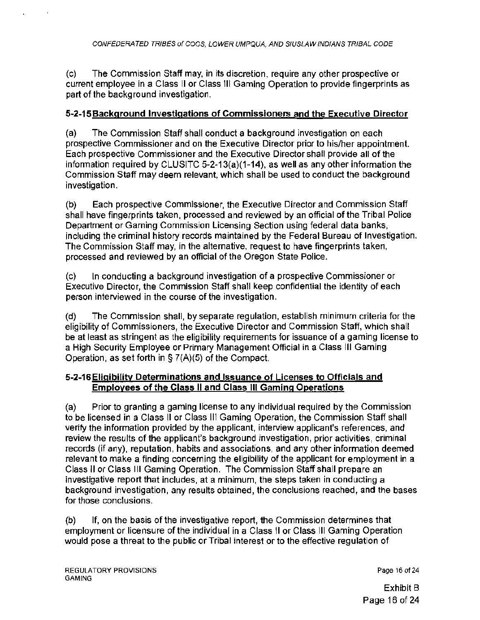(c) The Commission Staff may, in its discretion, require any other prospective or current employee in a Class II or Class Ill Gaming Operation to provide fingerprints as part of the background investigation.

## 5-2-15 Background Investigations of Commissioners and the Executive Director

(a) The Commission Staff shall conduct a background investigation on each prospective Commissioner and on the Executive Director prior to his/her appointment. Each prospective Commissioner and the Executive Director shall provide all of the information required by CLUSITC 5-2-13(a)(1-14), as well as any other information the Commission Staff may deem relevant, which shall be used to conduct the background investigation.

(b) Each prospective Commissioner, the Executive Director and Commission Staff shall have fingerprints taken, processed and reviewed by an official of the Tribal Police Department or Gaming Commission Licensing Section using federal data banks, including the criminal history records maintained by the Federal Bureau of Investigation. The Commission Staff may, in the alternative, request to have fingerprints taken, processed and reviewed by an official of the Oregon State Police.

(c) In conducting a background investigation of a prospective Commissioner or Executive Director, the Commission Staff shall keep confidential the identity of each person interviewed in the course of the investigation.

(d) The Commission shall, by separate regulation, establish minimum criteria for the eligibility of Commissioners, the Executive Director and Commission Staff, which shall be at least as stringent as the eligibility requirements for issuance of a gaming license to a High Security Employee or Primary Management Official in a Class Ill Gaming Operation, as set forth in § 7(A)(5) of the Compact.

## 5-2-16Eligibility Determinations and Issuance of Licenses to Officials and Employees of the Class II and Class Ill Gaming Operations

(a) Prior to granting a gaming license to any individual required by the Commission to be licensed in a Class II or Class III Gaming Operation, the Commission Staff shall verify the information provided by the applicant, interview applicant's references, and review the results of the applicant's background investigation, prior activities, criminal records (if any), reputation, habits and associations, and any other information deemed relevant to make a finding concerning the eligibility of the applicant for employment in a Class II or Class Ill Gaming Operation. The Commission Staff shall prepare an investigative report that includes, at a minimum, the steps taken in conducting a background investigation, any results obtained, the conclusions reached, and the bases for those conclusions .

(b) If, on the basis of the investigative report, the Commission determines that employment or licensure of the individual in a Class II or Class Ill Gaming Operation would pose a threat to the public or Tribal interest or to the effective regulation of

Page 16 of 24

Exhibit B Page 16 of 24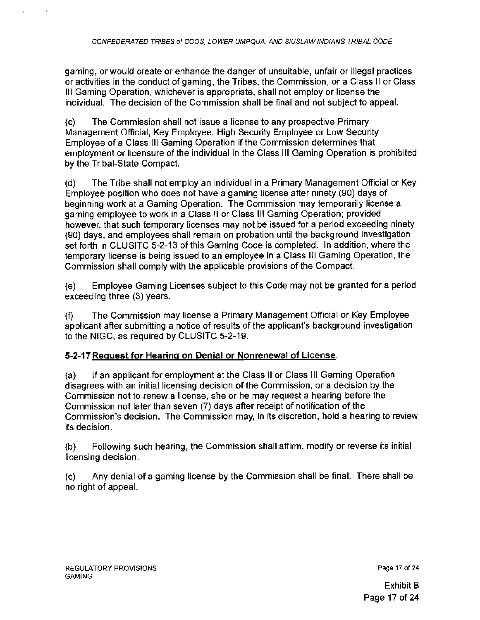gaming, or would create or enhance the danger of unsuitable, unfair or illegal practices or activities in the conduct of gaming, the Tribes, the Commission, or a Class 11 or Class Ill Gaming Operation, whichever is appropriate, shall not employ or license the individual. The decision of the Commission shall be final and not subject to appeal.

{c) The Commission shall not issue a license to any prospective Primary Management Official, Key Employee, High Security Employee or Low Security Employee of a Class Ill Gaming Operation if the Commission determines that employment or licensure of the individual in the Class Ill Gaming Operation is prohibited by the Tribal-State Compact.

(d) The Tribe shall not employ an individual in a Primary Management Official or Key Employee position who does not have a gaming license after ninety (90) days of beginning work at a Gaming Operation. The Commission may temporarily license a gaming employee to work in a Class II or Class Ill Gaming Operation; provided however, that such temporary licenses may not be issued for a period exceeding ninety {90) days, and employees shall remain on probation until the background investigation set forth in CLUSITC 5-2-13 of this Gaming Code is completed. In addition, where the temporary license is being issued to an employee in a Class Ill Gaming Operation, the Commission shall comply with the applicable provisions of the Compact.

{e) Employee Gaming Licenses subject to this Code may not be granted for a period exceeding three (3) years.

{f) The Commission may license a Primary Management Official or Key Employee applicant after submitting a notice of results of the applicant's background investigation to the NIGG, as required by CLUSITC 5-2-19.

## 5-2-17 Request for Hearing on Denial or Nonrenewat of License.

{a) If an applicant for employment at the Class II or Class Ill Gaming Operation disagrees with an initial licensing decision of the Commission, or a decision by the Commission not to renew a license, she or he may request a hearing before the Commission not later than seven (7) days after receipt of notification of the Commission's decision. The Commission may, in its discretion, hold a hearing to review its decision.

(b) Following such hearing, the Commission shall affirm, modify or reverse its initial licensing decision.

(c) Any denial of a gaming license by the Commission shall be final. There shall be no right of appeal.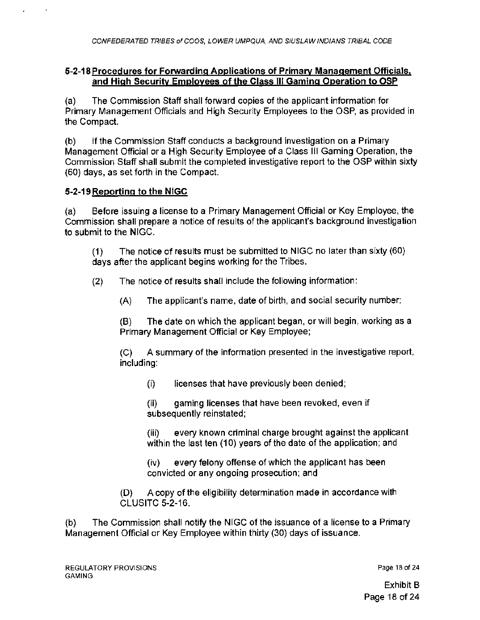#### **5-2-18Procedures for Forwarding Applications of Primary Management Officials,**  and High Security Employees of the Class III Gaming Operation to OSP

{a) The Commission Staff shall forward copies of the applicant information for Primary Management Officials and High Security Employees to the OSP, as provided in the Compact.

(b) If the Commission Staff conducts a background investigation on a Primary Management Official or a High Security Employee of a Class Ill Gaming Operation, the Commission Staff shall submit the completed investigative report to the OSP within sixty {60) days, as set forth in the Compact.

## **5-2-19Reporting to the NIGC**

 $\mathbf{r}$ 

(a) Before issuing a license to a Primary Management Official or Key Employee, the Commission shall prepare a notice of results of the applicant's background investigation to submit to the NIGC.

(1) The notice of results must be submitted to NIGC no later than sixty {60) days after the applicant begins working for the Tribes.

- (2) The notice of results shall include the following information:
	- (A) The applicant's name, date of birth, and social security number;

**(B)** The date on which the applicant began, or will begin, working as a Primary Management Official or Key Employee;

(C) A summary of the information presented in the investigative report, including:

(i) licenses that have previously been denied;

(ii) gaming licenses that have been revoked, even if subsequently reinstated;

(iii) every known criminal charge brought against the applicant within the last ten (10) years of the date of the application; and

(iv) every felony offense of which the applicant has been convicted or any ongoing prosecution; and

(D) A copy of the eligibility determination made in accordance with CLUSITC 5-2-16.

(b) The Commission shall notify the NIGC of the issuance of a license to a Primary Management Official or Key Employee within thirty {30) days of issuance.

Page 18 of 24

Exhibit B Page 18 of 24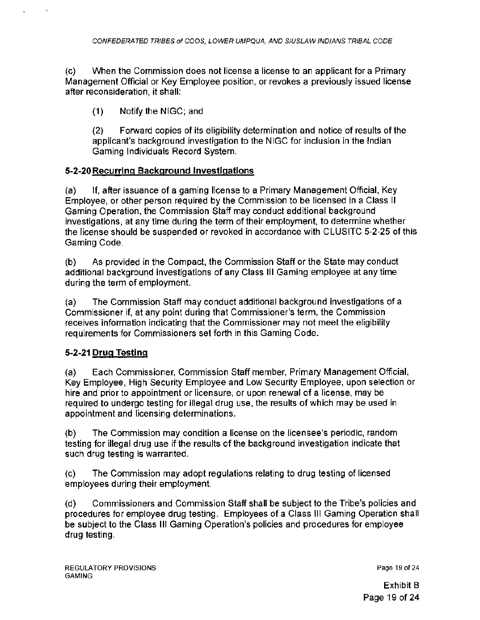(c) When the Commission does not license a license to an applicant for a Primary Management Official or Key Employee position, or revokes a previously issued license after reconsideration, it shall:

(1) Notify the NIGC; and

(2) Forward copies of its eligibility determination and notice of results of the applicant's background investigation to the NIGC for inclusion in the Indian Gaming Individuals Record System.

## 5-2-20 Recurring Background Investigations

(a) If, after issuance of a gaming license to a Primary Management Official, Key Employee, or other person required by the Commission to be licensed in a Class II Gaming Operation, the Commission Staff may conduct additional background investigations, at any time during the term of their employment, to determine whether the license should be suspended or revoked in accordance with CL US ITC 5-2-25 of this Gaming Code.

(b) As provided in the Compact, the Commission Staff or the State may conduct additional background investigations of any Class Ill Gaming employee at any time during the term of employment.

(a) The Commission Staff may conduct additional background investigations of a Commissioner if, at any point during that Commissioner's term, the Commission receives information indicating that the Commissioner may not meet the eligibility requirements for Commissioners set forth in this Gaming Code.

# 5-2-21 Drug Testing

(a) Each Commissioner, Commission Staff member, Primary Management Official, Key Employee, High Security Employee and Low Security Employee, upon selection or hire and prior to appointment or licensure, or upon renewal of a license, may be required to undergo testing for illegal drug use, the results of which may be used in appointment and licensing determinations.

(b) The Commission may condition a license on the licensee's periodic, random testing for illegal drug use if the results of the background investigation indicate that such drug testing is warranted.

(c) The Commission may adopt regulations relating to drug testing of licensed employees during their employment.

(d) Commissioners and Commission Staff shall be subject to the Tribe's policies and procedures for employee drug testing. Employees of a Class Ill Gaming Operation shall be subject to the Class Ill Gaming Operation's policies and procedures for employee drug testing.

Page 19 of 24

Exhibit B Page 19 of 24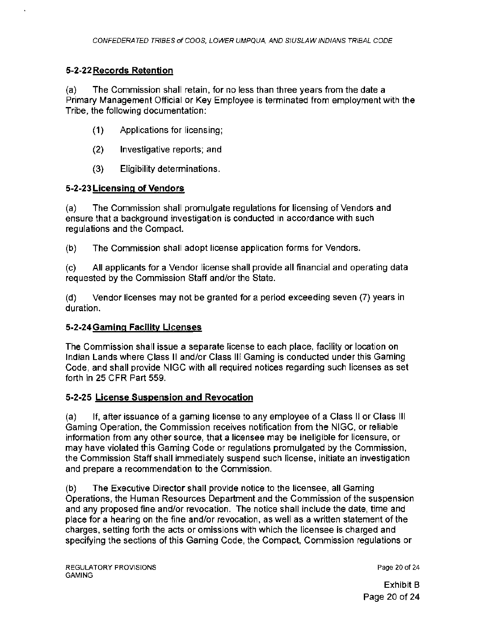# 5-2-22 Records Retention

(a) The Commission shall retain, for no less than three years from the date a Primary Management Official or Key Employee is terminated from employment with the Tribe, the following documentation:

- (1) Applications for licensing;
- (2) Investigative reports; and
- (3) Eligibility determinations.

# 5-2-23 Licensing of Vendors

(a) The Commission shall promulgate regulations for licensing of Vendors and ensure that a background investigation is conducted in accordance with such regulations and the Compact.

(b) The Commission shall adopt license application forms for Vendors.

(c) All applicants for a Vendor license shall provide all financial and operating data requested by the Commission Staff and/or the State.

(d) Vendor licenses may not be granted for a period exceeding seven (7) years in duration.

## 5·2-24Gaming Facility Licenses

The Commission shall issue a separate license to each place, facility or location on Indian Lands where Class II and/or Class Ill Gaming is conducted under this Gaming Code, and shall provide NIGC with all required notices regarding such licenses as set forth in 25 CFR Part 559.

## 5-2-25 License Suspension and Revocation

(a) If, after issuance of a gaming license to any employee of a Class II or Class Ill Gaming Operation, the Commission receives notification from the NIGC, or reliable information from any other source, that a licensee may be ineligible for licensure, or may have violated this Gaming Code or regulations promulgated by the Commission, the Commission Staff shall immediately suspend such license, initiate an investigation and prepare a recommendation to the Commission.

(b) The Executive Director shall provide notice to the licensee, all Gaming Operations, the Human Resources Department and the Commission of the suspension and any proposed fine and/or revocation. The notice shall include the date, time and place for a hearing on the fine and/or revocation, as well as a written statement of the charges, setting forth the acts or omissions with which the licensee is charged and specifying the sections of this Gaming Code, the Compact, Commission regulations or

Page 20 of 24

Exhibit B Page 20 of 24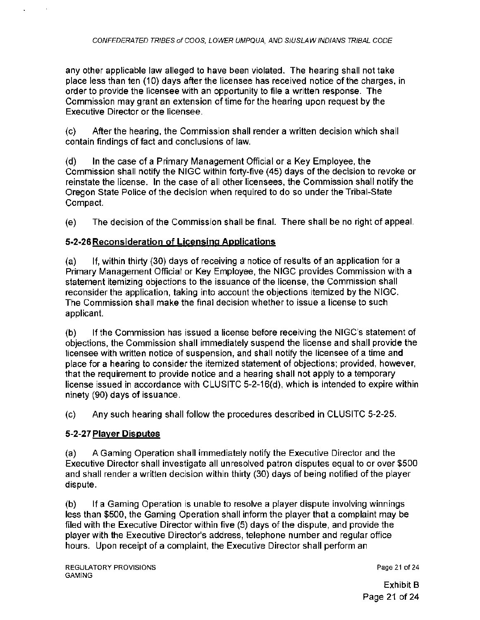any other applicable law alleged to have been violated. The hearing shall not take place less than ten (10) days after the licensee has received notice of the charges, in order to provide the licensee with an opportunity to file a written response. The Commission may grant an extension of time for the hearing upon request by the Executive Director or the licensee.

(c) After the hearing, the Commission shall render a written decision which shall contain findings of fact and conclusions of law.

(d) In the case of a Primary Management Official or a Key Employee, the Commission shall notify the NIGC within forty-five (45) days of the decision to revoke or reinstate the license. In the case of all other licensees, the Commission shall notify the Oregon State Police of the decision when required to do so under the Tribal-State Compact.

(e) The decision of the Commission shall be final. There shall be no right of appeal.

# 5-2-26Reconsideration of Licensing Applications

(a) If, within thirty (30) days of receiving a notice of results of an application for a Primary Management Official or Key Employee, the NIGC provides Commission with a statement itemizing objections to the issuance of the license, the Commission shall reconsider the application, taking into account the objections itemized by the NIGC. The Commission shall make the final decision whether to issue a license to such applicant.

(b) If the Commission has issued a license before receiving the NIGC's statement of objections, the Commission shall immediately suspend the license and shall provide the licensee with written notice of suspension, and shall notify the licensee of a time and place for a hearing to consider the itemized statement of objections; provided, however, that the requirement to provide notice and a hearing shall not apply to a temporary license issued in accordance with CLUSITC 5-2-16(d), which is intended to expire within ninety (90) days of issuance.

(c) Any such hearing shall follow the procedures described in CLUSITC 5-2-25.

# 5-2-27 Player Disputes

(a) A Gaming Operation shall immediately notify the Executive Director and the Executive Director shall investigate all unresolved patron disputes equal to or over \$500 and shall render a written decision within thirty (30) days of being notified of the player dispute.

(b) If a Gaming Operation is unable to resolve a player dispute involving winnings less than \$500, the Gaming Operation shall inform the player that a complaint may be filed with the Executive Director within five (5) days of the dispute, and provide the player with the Executive Director's address, telephone number and regular office hours. Upon receipt of a complaint, the Executive Director shall perform an

Page 21 of 24

Exhibit B Page 21 of 24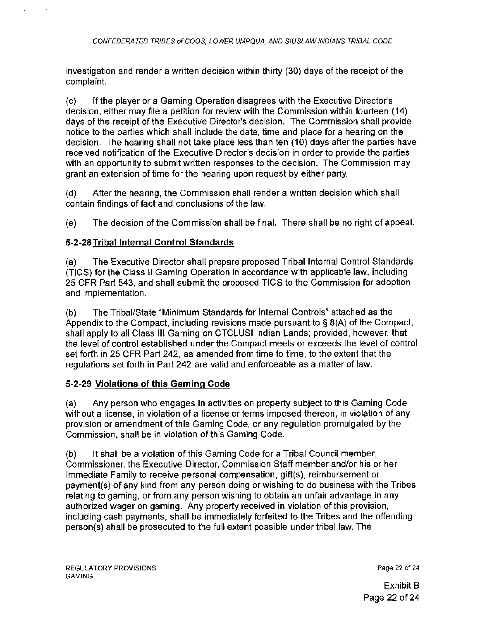investigation and render a written decision within thirty (30) days of the receipt of the complaint.

(c) If the player or a Gaming Operation disagrees with the Executive Director's decision, either may file a petition for review with the Commission within fourteen (14) days of the receipt of the Executive Director's decision. The Commission shall provide notice to the parties which shall include the date, time and place for a hearing on the decision. The hearing shall not take place less than ten (10) days after the parties have received notification of the Executive Director's decision in order to provide the parties with an opportunity to submit written responses to the decision. The Commission may grant an extension of time for the hearing upon request by either party.

(d) After the hearing, the Commission shall render a written decision which shall contain findings of fact and conclusions of the law.

(e) The decision of the Commission shall be final. There shall be no right of appeal.

# 5-2-28 Tribal Internal Control Standards

(a) The Executive Director shall prepare proposed Tribal Internal Control Standards (TICS) for the Class II Gaming Operation in accordance with applicable law, including 25 CFR Part 543, and shall submit the proposed TICS to the Commission for adoption and implementation.

(b) The Tribal/State "Minimum Standards for Internal Controls" attached as the Appendix to the Compact, including revisions made pursuant to§ 8(A) of the Compact, shall apply to all Class Ill Gaming on CTCLUSI Indian Lands; provided, however, that the level of control established under the Compact meets or exceeds the level of control set forth in 25 CFR Part 242, as amended from time to time, to the extent that the regulations set forth in Part 242 are valid and enforceable as a matter of law.

## 5-2-29 Violations of this Gaming Code

(a) Any person who engages in activities on property subject to this Gaming Code without a license, in violation of a license or terms imposed thereon, in violation of any provision or amendment of this Gaming Code, or any regulation promulgated by the Commission, shall be in violation of this Gaming Code.

(b) It shall be a violation of this Gaming Code for a Tribal Council member, Commissioner, the Executive Director, Commission Staff member and/or his or her Immediate Family to receive personal compensation, gift(s), reimbursement or payment(s) of any kind from any person doing or wishing to do business with the Tribes relating to gaming, or from any person wishing to obtain an unfair advantage in any authorized wager on gaming. Any property received in violation of this provision, including cash payments, shall be immediately forfeited to the Tribes and the offending person(s) shall be prosecuted to the full extent possible under tribal law. The

Page 22 of 24

Exhibit B Page 22 of 24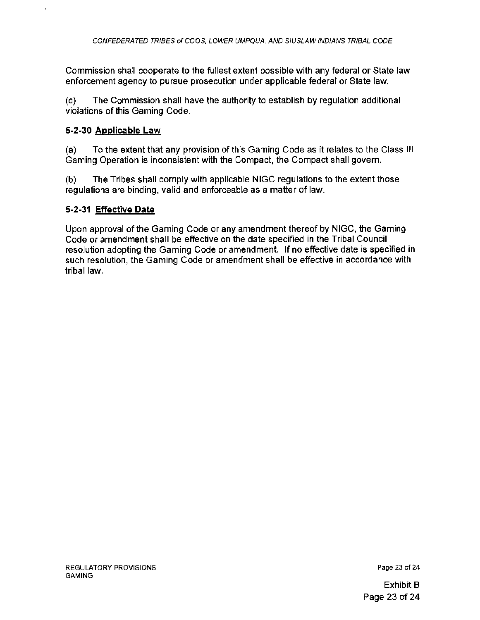Commission shall cooperate to the fullest extent possible with any federal or State law enforcement agency to pursue prosecution under applicable federal or State law.

(c) The Commission shall have the authority to establish by regulation additional violations of this Gaming Code.

### 5-2-30 Applicable Law

(a) To the extent that any provision of this Gaming Code as it relates to the Class Ill Gaming Operation is inconsistent with the Compact, the Compact shall govern.

(b) The Tribes shall comply with applicable NIGC regulations to the extent those regulations are binding, valid and enforceable as a matter of law.

#### 5-2-31 Effective Date

Upon approval of the Gaming Code or any amendment thereof by NIGC, the Gaming Code or amendment shall be effective on the date specified in the Tribal Council resolution adopting the Gaming Code or amendment. If no effective date is specified in such resolution, the Gaming Code or amendment shall be effective in accordance with tribal law.